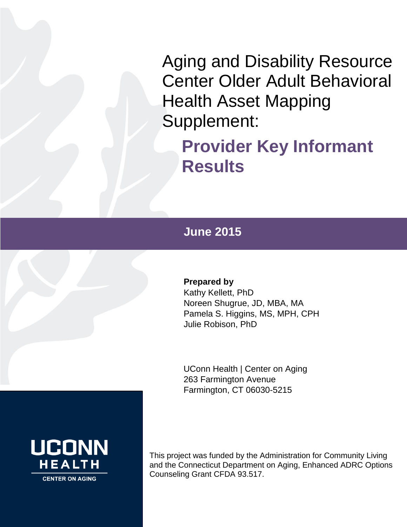Aging and Disability Resource Center Older Adult Behavioral Health Asset Mapping Supplement:

# **Provider Key Informant Results**

## **June 2015**



UConn Health | Center on Aging 263 Farmington Avenue Farmington, CT 06030-5215



This project was funded by the Administration for Community Living and the Connecticut Department on Aging, Enhanced ADRC Options Counseling Grant CFDA 93.517.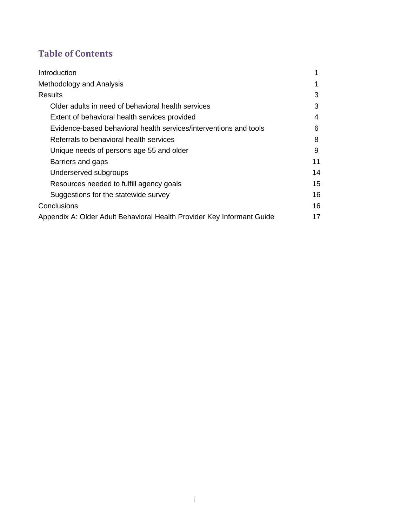# **Table of Contents**

| Introduction                                                           |    |
|------------------------------------------------------------------------|----|
| Methodology and Analysis                                               | 1  |
| Results                                                                | 3  |
| Older adults in need of behavioral health services                     | 3  |
| Extent of behavioral health services provided                          | 4  |
| Evidence-based behavioral health services/interventions and tools      | 6  |
| Referrals to behavioral health services                                | 8  |
| Unique needs of persons age 55 and older                               | 9  |
| Barriers and gaps                                                      | 11 |
| Underserved subgroups                                                  | 14 |
| Resources needed to fulfill agency goals                               | 15 |
| Suggestions for the statewide survey                                   | 16 |
| Conclusions                                                            | 16 |
| Appendix A: Older Adult Behavioral Health Provider Key Informant Guide | 17 |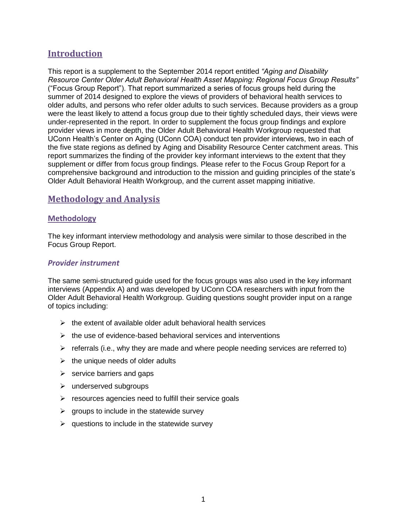## **Introduction**

This report is a supplement to the September 2014 report entitled *"Aging and Disability Resource Center Older Adult Behavioral Health Asset Mapping: Regional Focus Group Results"* ("Focus Group Report"). That report summarized a series of focus groups held during the summer of 2014 designed to explore the views of providers of behavioral health services to older adults, and persons who refer older adults to such services. Because providers as a group were the least likely to attend a focus group due to their tightly scheduled days, their views were under-represented in the report. In order to supplement the focus group findings and explore provider views in more depth, the Older Adult Behavioral Health Workgroup requested that UConn Health's Center on Aging (UConn COA) conduct ten provider interviews, two in each of the five state regions as defined by Aging and Disability Resource Center catchment areas. This report summarizes the finding of the provider key informant interviews to the extent that they supplement or differ from focus group findings. Please refer to the Focus Group Report for a comprehensive background and introduction to the mission and guiding principles of the state's Older Adult Behavioral Health Workgroup, and the current asset mapping initiative.

## **Methodology and Analysis**

#### **Methodology**

The key informant interview methodology and analysis were similar to those described in the Focus Group Report.

#### *Provider instrument*

The same semi-structured guide used for the focus groups was also used in the key informant interviews (Appendix A) and was developed by UConn COA researchers with input from the Older Adult Behavioral Health Workgroup. Guiding questions sought provider input on a range of topics including:

- $\triangleright$  the extent of available older adult behavioral health services
- $\triangleright$  the use of evidence-based behavioral services and interventions
- $\triangleright$  referrals (i.e., why they are made and where people needing services are referred to)
- $\triangleright$  the unique needs of older adults
- $\triangleright$  service barriers and gaps
- $\triangleright$  underserved subgroups
- $\triangleright$  resources agencies need to fulfill their service goals
- $\triangleright$  groups to include in the statewide survey
- $\triangleright$  questions to include in the statewide survey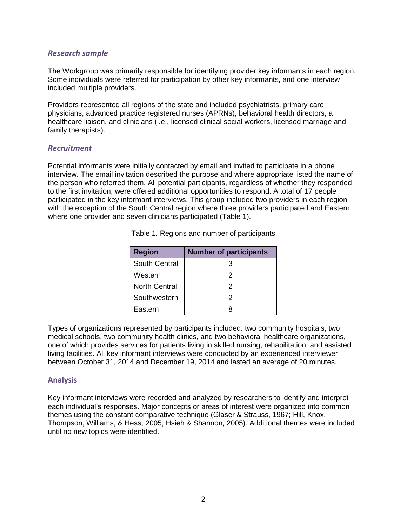#### *Research sample*

The Workgroup was primarily responsible for identifying provider key informants in each region. Some individuals were referred for participation by other key informants, and one interview included multiple providers.

Providers represented all regions of the state and included psychiatrists, primary care physicians, advanced practice registered nurses (APRNs), behavioral health directors, a healthcare liaison, and clinicians (i.e., licensed clinical social workers, licensed marriage and family therapists).

#### *Recruitment*

Potential informants were initially contacted by email and invited to participate in a phone interview. The email invitation described the purpose and where appropriate listed the name of the person who referred them. All potential participants, regardless of whether they responded to the first invitation, were offered additional opportunities to respond. A total of 17 people participated in the key informant interviews. This group included two providers in each region with the exception of the South Central region where three providers participated and Eastern where one provider and seven clinicians participated (Table 1).

| <b>Region</b>        | <b>Number of participants</b> |
|----------------------|-------------------------------|
| South Central        |                               |
| Western              |                               |
| <b>North Central</b> |                               |
| Southwestern         |                               |
| Eastern              |                               |

Table 1. Regions and number of participants

Types of organizations represented by participants included: two community hospitals, two medical schools, two community health clinics, and two behavioral healthcare organizations, one of which provides services for patients living in skilled nursing, rehabilitation, and assisted living facilities. All key informant interviews were conducted by an experienced interviewer between October 31, 2014 and December 19, 2014 and lasted an average of 20 minutes.

#### **Analysis**

Key informant interviews were recorded and analyzed by researchers to identify and interpret each individual's responses. Major concepts or areas of interest were organized into common themes using the constant comparative technique (Glaser & Strauss, 1967; Hill, Knox, Thompson, Williams, & Hess, 2005; Hsieh & Shannon, 2005). Additional themes were included until no new topics were identified.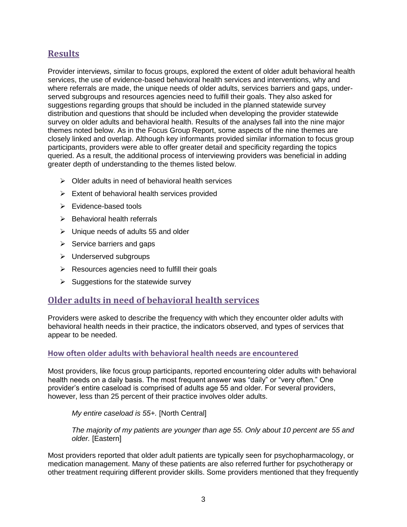## **Results**

Provider interviews, similar to focus groups, explored the extent of older adult behavioral health services, the use of evidence-based behavioral health services and interventions, why and where referrals are made, the unique needs of older adults, services barriers and gaps, underserved subgroups and resources agencies need to fulfill their goals. They also asked for suggestions regarding groups that should be included in the planned statewide survey distribution and questions that should be included when developing the provider statewide survey on older adults and behavioral health. Results of the analyses fall into the nine major themes noted below. As in the Focus Group Report, some aspects of the nine themes are closely linked and overlap. Although key informants provided similar information to focus group participants, providers were able to offer greater detail and specificity regarding the topics queried. As a result, the additional process of interviewing providers was beneficial in adding greater depth of understanding to the themes listed below.

- $\triangleright$  Older adults in need of behavioral health services
- $\triangleright$  Extent of behavioral health services provided
- $\triangleright$  Evidence-based tools
- $\triangleright$  Behavioral health referrals
- $\triangleright$  Unique needs of adults 55 and older
- $\triangleright$  Service barriers and gaps
- Underserved subgroups
- $\triangleright$  Resources agencies need to fulfill their goals
- $\triangleright$  Suggestions for the statewide survey

## **Older adults in need of behavioral health services**

Providers were asked to describe the frequency with which they encounter older adults with behavioral health needs in their practice, the indicators observed, and types of services that appear to be needed.

#### **How often older adults with behavioral health needs are encountered**

Most providers, like focus group participants, reported encountering older adults with behavioral health needs on a daily basis. The most frequent answer was "daily" or "very often." One provider's entire caseload is comprised of adults age 55 and older. For several providers, however, less than 25 percent of their practice involves older adults.

*My entire caseload is 55+.* [North Central]

*The majority of my patients are younger than age 55. Only about 10 percent are 55 and older.* [Eastern]

Most providers reported that older adult patients are typically seen for psychopharmacology, or medication management. Many of these patients are also referred further for psychotherapy or other treatment requiring different provider skills. Some providers mentioned that they frequently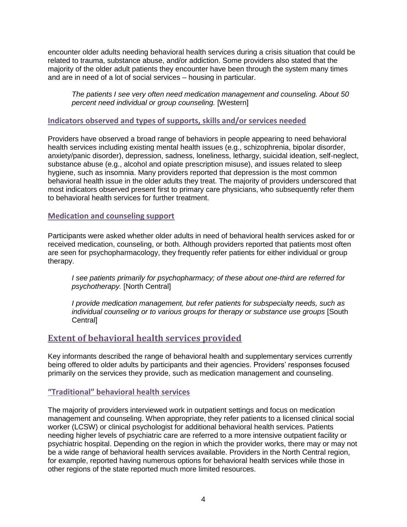encounter older adults needing behavioral health services during a crisis situation that could be related to trauma, substance abuse, and/or addiction. Some providers also stated that the majority of the older adult patients they encounter have been through the system many times and are in need of a lot of social services – housing in particular.

*The patients I see very often need medication management and counseling. About 50 percent need individual or group counseling.* [Western]

#### **Indicators observed and types of supports, skills and/or services needed**

Providers have observed a broad range of behaviors in people appearing to need behavioral health services including existing mental health issues (e.g., schizophrenia, bipolar disorder, anxiety/panic disorder), depression, sadness, loneliness, lethargy, suicidal ideation, self-neglect, substance abuse (e.g., alcohol and opiate prescription misuse), and issues related to sleep hygiene, such as insomnia. Many providers reported that depression is the most common behavioral health issue in the older adults they treat. The majority of providers underscored that most indicators observed present first to primary care physicians, who subsequently refer them to behavioral health services for further treatment.

#### **Medication and counseling support**

Participants were asked whether older adults in need of behavioral health services asked for or received medication, counseling, or both. Although providers reported that patients most often are seen for psychopharmacology, they frequently refer patients for either individual or group therapy.

*I see patients primarily for psychopharmacy; of these about one-third are referred for psychotherapy.* [North Central]

*I provide medication management, but refer patients for subspecialty needs, such as*  individual counseling or to various groups for therapy or substance use groups [South **Centrall** 

## **Extent of behavioral health services provided**

Key informants described the range of behavioral health and supplementary services currently being offered to older adults by participants and their agencies. Providers' responses focused primarily on the services they provide, such as medication management and counseling.

#### **"Traditional" behavioral health services**

The majority of providers interviewed work in outpatient settings and focus on medication management and counseling. When appropriate, they refer patients to a licensed clinical social worker (LCSW) or clinical psychologist for additional behavioral health services. Patients needing higher levels of psychiatric care are referred to a more intensive outpatient facility or psychiatric hospital. Depending on the region in which the provider works, there may or may not be a wide range of behavioral health services available. Providers in the North Central region, for example, reported having numerous options for behavioral health services while those in other regions of the state reported much more limited resources.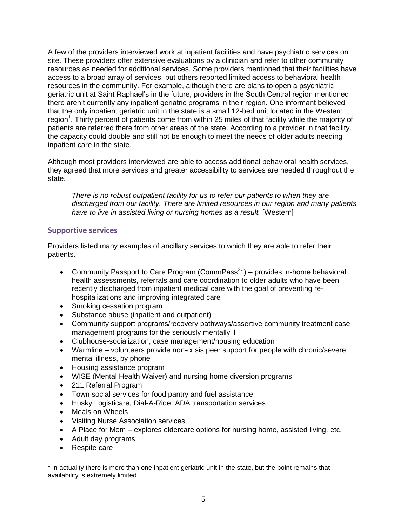A few of the providers interviewed work at inpatient facilities and have psychiatric services on site. These providers offer extensive evaluations by a clinician and refer to other community resources as needed for additional services. Some providers mentioned that their facilities have access to a broad array of services, but others reported limited access to behavioral health resources in the community. For example, although there are plans to open a psychiatric geriatric unit at Saint Raphael's in the future, providers in the South Central region mentioned there aren't currently any inpatient geriatric programs in their region. One informant believed that the only inpatient geriatric unit in the state is a small 12-bed unit located in the Western region<sup>1</sup>. Thirty percent of patients come from within 25 miles of that facility while the majority of patients are referred there from other areas of the state. According to a provider in that facility, the capacity could double and still not be enough to meet the needs of older adults needing inpatient care in the state.

Although most providers interviewed are able to access additional behavioral health services, they agreed that more services and greater accessibility to services are needed throughout the state.

*There is no robust outpatient facility for us to refer our patients to when they are discharged from our facility. There are limited resources in our region and many patients have to live in assisted living or nursing homes as a result.* [Western]

#### **Supportive services**

Providers listed many examples of ancillary services to which they are able to refer their patients.

- Community Passport to Care Program (CommPass<sup>2C</sup>) provides in-home behavioral health assessments, referrals and care coordination to older adults who have been recently discharged from inpatient medical care with the goal of preventing rehospitalizations and improving integrated care
- Smoking cessation program
- Substance abuse (inpatient and outpatient)
- Community support programs/recovery pathways/assertive community treatment case management programs for the seriously mentally ill
- Clubhouse-socialization, case management/housing education
- Warmline volunteers provide non-crisis peer support for people with chronic/severe mental illness, by phone
- Housing assistance program
- WISE (Mental Health Waiver) and nursing home diversion programs
- 211 Referral Program
- Town social services for food pantry and fuel assistance
- Husky Logisticare, Dial-A-Ride, ADA transportation services
- Meals on Wheels
- Visiting Nurse Association services
- A Place for Mom explores eldercare options for nursing home, assisted living, etc.
- Adult day programs
- Respite care

 $\overline{a}$ 

 $1$  In actuality there is more than one inpatient geriatric unit in the state, but the point remains that availability is extremely limited.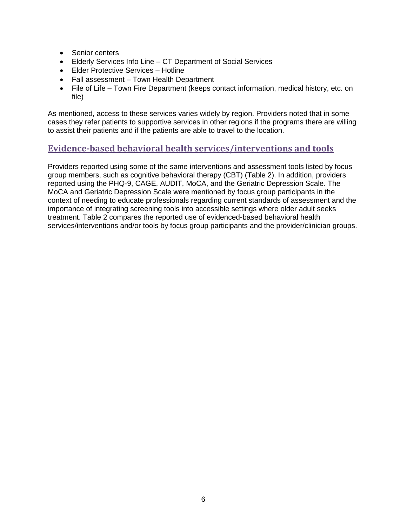- Senior centers
- Elderly Services Info Line CT Department of Social Services
- Elder Protective Services Hotline
- Fall assessment Town Health Department
- File of Life Town Fire Department (keeps contact information, medical history, etc. on file)

As mentioned, access to these services varies widely by region. Providers noted that in some cases they refer patients to supportive services in other regions if the programs there are willing to assist their patients and if the patients are able to travel to the location.

## **Evidence-based behavioral health services/interventions and tools**

Providers reported using some of the same interventions and assessment tools listed by focus group members, such as cognitive behavioral therapy (CBT) (Table 2). In addition, providers reported using the PHQ-9, CAGE, AUDIT, MoCA, and the Geriatric Depression Scale. The MoCA and Geriatric Depression Scale were mentioned by focus group participants in the context of needing to educate professionals regarding current standards of assessment and the importance of integrating screening tools into accessible settings where older adult seeks treatment. Table 2 compares the reported use of evidenced-based behavioral health services/interventions and/or tools by focus group participants and the provider/clinician groups.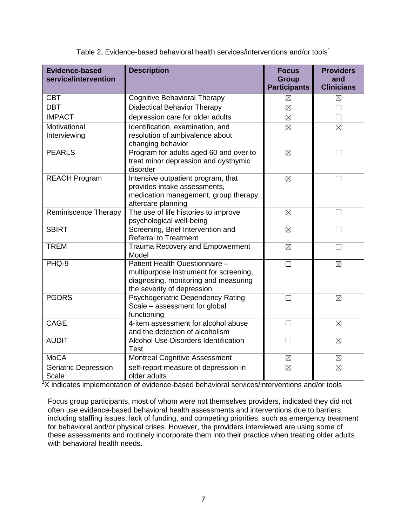| <b>Evidence-based</b><br>service/intervention | <b>Description</b>                          | <b>Focus</b><br><b>Group</b><br><b>Participants</b> | <b>Providers</b><br>and<br><b>Clinicians</b> |
|-----------------------------------------------|---------------------------------------------|-----------------------------------------------------|----------------------------------------------|
| <b>CBT</b>                                    | <b>Cognitive Behavioral Therapy</b>         | $\boxtimes$                                         | $\boxtimes$                                  |
| <b>DBT</b>                                    | <b>Dialectical Behavior Therapy</b>         | $\boxtimes$                                         | П                                            |
| <b>IMPACT</b>                                 | depression care for older adults            | $\boxtimes$                                         | $\Box$                                       |
| Motivational                                  | Identification, examination, and            | $\boxtimes$                                         | $\boxtimes$                                  |
| Interviewing                                  | resolution of ambivalence about             |                                                     |                                              |
|                                               | changing behavior                           |                                                     |                                              |
| <b>PEARLS</b>                                 | Program for adults aged 60 and over to      | $\boxtimes$                                         |                                              |
|                                               | treat minor depression and dysthymic        |                                                     |                                              |
|                                               | disorder                                    |                                                     |                                              |
| <b>REACH Program</b>                          | Intensive outpatient program, that          | $\boxtimes$                                         |                                              |
|                                               | provides intake assessments,                |                                                     |                                              |
|                                               | medication management, group therapy,       |                                                     |                                              |
|                                               | aftercare planning                          |                                                     |                                              |
| <b>Reminiscence Therapy</b>                   | The use of life histories to improve        | $\boxtimes$                                         |                                              |
|                                               | psychological well-being                    |                                                     |                                              |
| <b>SBIRT</b>                                  | Screening, Brief Intervention and           | $\boxtimes$                                         |                                              |
| <b>TREM</b>                                   | <b>Referral to Treatment</b>                |                                                     |                                              |
|                                               | Trauma Recovery and Empowerment<br>Model    | $\boxtimes$                                         | $\vert \ \ \vert$                            |
| PHQ-9                                         | Patient Health Questionnaire -              |                                                     |                                              |
|                                               | multipurpose instrument for screening,      | П                                                   | $\boxtimes$                                  |
|                                               | diagnosing, monitoring and measuring        |                                                     |                                              |
|                                               | the severity of depression                  |                                                     |                                              |
| <b>PGDRS</b>                                  | Psychogeriatric Dependency Rating           | П                                                   | $\boxtimes$                                  |
|                                               | Scale - assessment for global               |                                                     |                                              |
|                                               | functioning                                 |                                                     |                                              |
| <b>CAGE</b>                                   | 4-item assessment for alcohol abuse         | П                                                   | $\boxtimes$                                  |
|                                               | and the detection of alcoholism             |                                                     |                                              |
| <b>AUDIT</b>                                  | <b>Alcohol Use Disorders Identification</b> | П                                                   | $\boxtimes$                                  |
|                                               | <b>Test</b>                                 |                                                     |                                              |
| <b>MoCA</b>                                   | <b>Montreal Cognitive Assessment</b>        | $\boxtimes$                                         | $\boxtimes$                                  |
| Geriatric Depression                          | self-report measure of depression in        | $\boxtimes$                                         | $\boxtimes$                                  |
| Scale                                         | older adults                                |                                                     |                                              |

Table 2. Evidence-based behavioral health services/interventions and/or tools<sup>1</sup>

 $X$  indicates implementation of evidence-based behavioral services/interventions and/or tools

Focus group participants, most of whom were not themselves providers, indicated they did not often use evidence-based behavioral health assessments and interventions due to barriers including staffing issues, lack of funding, and competing priorities, such as emergency treatment for behavioral and/or physical crises. However, the providers interviewed are using some of these assessments and routinely incorporate them into their practice when treating older adults with behavioral health needs.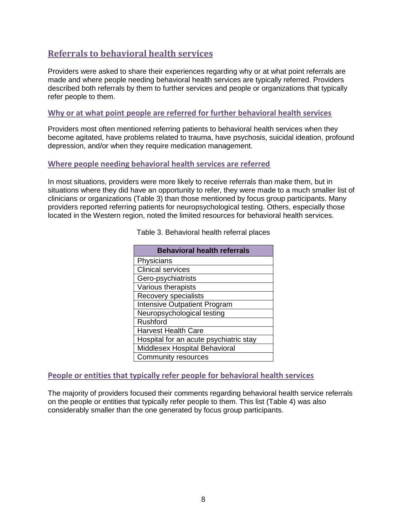## **Referrals to behavioral health services**

Providers were asked to share their experiences regarding why or at what point referrals are made and where people needing behavioral health services are typically referred. Providers described both referrals by them to further services and people or organizations that typically refer people to them.

#### **Why or at what point people are referred for further behavioral health services**

Providers most often mentioned referring patients to behavioral health services when they become agitated, have problems related to trauma, have psychosis, suicidal ideation, profound depression, and/or when they require medication management.

#### **Where people needing behavioral health services are referred**

In most situations, providers were more likely to receive referrals than make them, but in situations where they did have an opportunity to refer, they were made to a much smaller list of clinicians or organizations (Table 3) than those mentioned by focus group participants. Many providers reported referring patients for neuropsychological testing. Others, especially those located in the Western region, noted the limited resources for behavioral health services.

| <b>Behavioral health referrals</b>     |
|----------------------------------------|
| Physicians                             |
| <b>Clinical services</b>               |
| Gero-psychiatrists                     |
| Various therapists                     |
| Recovery specialists                   |
| <b>Intensive Outpatient Program</b>    |
| Neuropsychological testing             |
| <b>Rushford</b>                        |
| <b>Harvest Health Care</b>             |
| Hospital for an acute psychiatric stay |
| Middlesex Hospital Behavioral          |
| Community resources                    |

#### Table 3. Behavioral health referral places

#### **People or entities that typically refer people for behavioral health services**

The majority of providers focused their comments regarding behavioral health service referrals on the people or entities that typically refer people to them. This list (Table 4) was also considerably smaller than the one generated by focus group participants.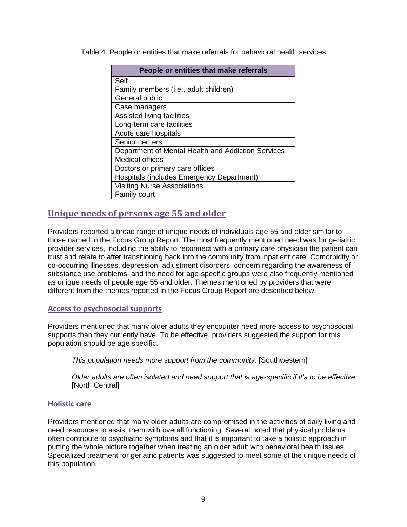Table 4. People or entities that make referrals for behavioral health services

| People or entities that make referrals             |
|----------------------------------------------------|
| Self                                               |
| Family members (i.e., adult children)              |
| General public                                     |
| Case managers                                      |
| Assisted living facilities                         |
| Long-term care facilities                          |
| Acute care hospitals                               |
| Senior centers                                     |
| Department of Mental Health and Addiction Services |
| <b>Medical offices</b>                             |
| Doctors or primary care offices                    |
| Hospitals (includes Emergency Department)          |
| <b>Visiting Nurse Associations</b>                 |
| <b>Family court</b>                                |

## **Unique needs of persons age 55 and older**

Providers reported a broad range of unique needs of individuals age 55 and older similar to those named in the Focus Group Report. The most frequently mentioned need was for geriatric provider services, including the ability to reconnect with a primary care physician the patient can trust and relate to after transitioning back into the community from inpatient care. Comorbidity or co-occurring illnesses, depression, adjustment disorders, concern regarding the awareness of substance use problems, and the need for age-specific groups were also frequently mentioned as unique needs of people age 55 and older. Themes mentioned by providers that were different from the themes reported in the Focus Group Report are described below.

#### **Access to psychosocial supports**

Providers mentioned that many older adults they encounter need more access to psychosocial supports than they currently have. To be effective, providers suggested the support for this population should be age specific.

*This population needs more support from the community.* [Southwestern]

*Older adults are often isolated and need support that is age-specific if it's to be effective.*  [North Central]

#### **Holistic care**

Providers mentioned that many older adults are compromised in the activities of daily living and need resources to assist them with overall functioning. Several noted that physical problems often contribute to psychiatric symptoms and that it is important to take a holistic approach in putting the whole picture together when treating an older adult with behavioral health issues. Specialized treatment for geriatric patients was suggested to meet some of the unique needs of this population.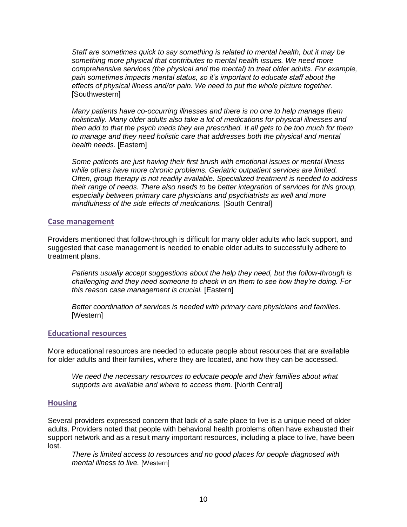*Staff are sometimes quick to say something is related to mental health, but it may be something more physical that contributes to mental health issues. We need more comprehensive services (the physical and the mental) to treat older adults. For example, pain sometimes impacts mental status, so it's important to educate staff about the effects of physical illness and/or pain. We need to put the whole picture together.*  [Southwestern]

*Many patients have co-occurring illnesses and there is no one to help manage them holistically. Many older adults also take a lot of medications for physical illnesses and then add to that the psych meds they are prescribed. It all gets to be too much for them to manage and they need holistic care that addresses both the physical and mental health needs.* [Eastern]

*Some patients are just having their first brush with emotional issues or mental illness while others have more chronic problems. Geriatric outpatient services are limited. Often, group therapy is not readily available. Specialized treatment is needed to address their range of needs. There also needs to be better integration of services for this group, especially between primary care physicians and psychiatrists as well and more mindfulness of the side effects of medications.* [South Central]

#### **Case management**

Providers mentioned that follow-through is difficult for many older adults who lack support, and suggested that case management is needed to enable older adults to successfully adhere to treatment plans.

*Patients usually accept suggestions about the help they need, but the follow-through is challenging and they need someone to check in on them to see how they're doing. For this reason case management is crucial.* [Eastern]

*Better coordination of services is needed with primary care physicians and families.*  [Western]

#### **Educational resources**

More educational resources are needed to educate people about resources that are available for older adults and their families, where they are located, and how they can be accessed.

*We need the necessary resources to educate people and their families about what supports are available and where to access them.* [North Central]

#### **Housing**

Several providers expressed concern that lack of a safe place to live is a unique need of older adults. Providers noted that people with behavioral health problems often have exhausted their support network and as a result many important resources, including a place to live, have been lost.

*There is limited access to resources and no good places for people diagnosed with mental illness to live.* [Western]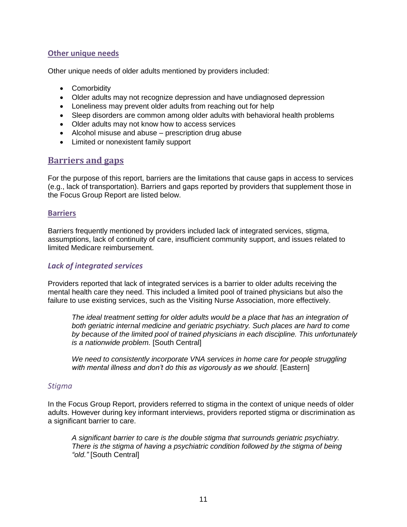#### **Other unique needs**

Other unique needs of older adults mentioned by providers included:

- Comorbidity
- Older adults may not recognize depression and have undiagnosed depression
- Loneliness may prevent older adults from reaching out for help
- Sleep disorders are common among older adults with behavioral health problems
- Older adults may not know how to access services
- Alcohol misuse and abuse prescription drug abuse
- Limited or nonexistent family support

## **Barriers and gaps**

For the purpose of this report, barriers are the limitations that cause gaps in access to services (e.g., lack of transportation). Barriers and gaps reported by providers that supplement those in the Focus Group Report are listed below.

#### **Barriers**

Barriers frequently mentioned by providers included lack of integrated services, stigma, assumptions, lack of continuity of care, insufficient community support, and issues related to limited Medicare reimbursement.

#### *Lack of integrated services*

Providers reported that lack of integrated services is a barrier to older adults receiving the mental health care they need. This included a limited pool of trained physicians but also the failure to use existing services, such as the Visiting Nurse Association, more effectively.

*The ideal treatment setting for older adults would be a place that has an integration of both geriatric internal medicine and geriatric psychiatry. Such places are hard to come by because of the limited pool of trained physicians in each discipline. This unfortunately is a nationwide problem.* [South Central]

*We need to consistently incorporate VNA services in home care for people struggling*  with mental illness and don't do this as vigorously as we should. [Eastern]

#### *Stigma*

In the Focus Group Report, providers referred to stigma in the context of unique needs of older adults. However during key informant interviews, providers reported stigma or discrimination as a significant barrier to care.

*A significant barrier to care is the double stigma that surrounds geriatric psychiatry. There is the stigma of having a psychiatric condition followed by the stigma of being "old."* [South Central]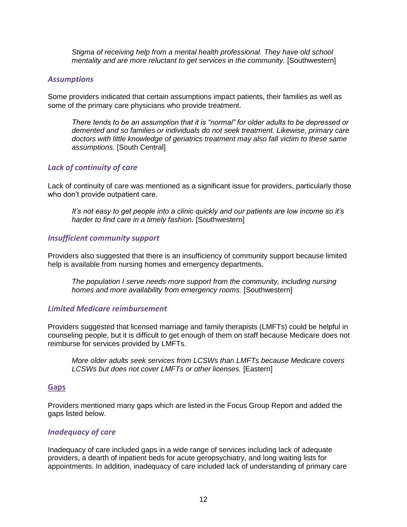*Stigma of receiving help from a mental health professional. They have old school mentality and are more reluctant to get services in the community.* [Southwestern]

#### *Assumptions*

Some providers indicated that certain assumptions impact patients, their families as well as some of the primary care physicians who provide treatment.

*There tends to be an assumption that it is "normal" for older adults to be depressed or demented and so families or individuals do not seek treatment. Likewise, primary care doctors with little knowledge of geriatrics treatment may also fall victim to these same assumptions.* [South Central]

#### *Lack of continuity of care*

Lack of continuity of care was mentioned as a significant issue for providers, particularly those who don't provide outpatient care.

*It's not easy to get people into a clinic quickly and our patients are low income so it's harder to find care in a timely fashion.* [Southwestern]

#### *Insufficient community support*

Providers also suggested that there is an insufficiency of community support because limited help is available from nursing homes and emergency departments.

*The population I serve needs more support from the community, including nursing homes and more availability from emergency rooms.* [Southwestern]

#### *Limited Medicare reimbursement*

Providers suggested that licensed marriage and family therapists (LMFTs) could be helpful in counseling people, but it is difficult to get enough of them on staff because Medicare does not reimburse for services provided by LMFTs.

*More older adults seek services from LCSWs than LMFTs because Medicare covers LCSWs but does not cover LMFTs or other licenses.* [Eastern]

#### **Gaps**

Providers mentioned many gaps which are listed in the Focus Group Report and added the gaps listed below.

#### *Inadequacy of care*

Inadequacy of care included gaps in a wide range of services including lack of adequate providers, a dearth of inpatient beds for acute geropsychiatry, and long waiting lists for appointments. In addition, inadequacy of care included lack of understanding of primary care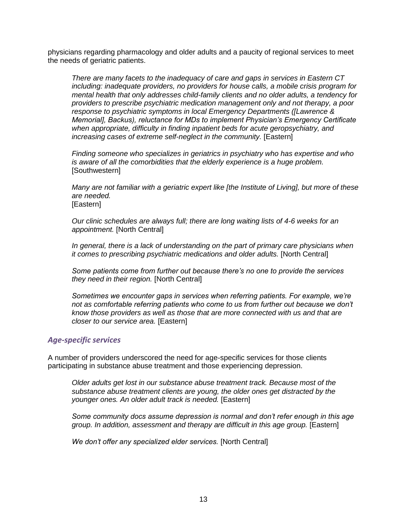physicians regarding pharmacology and older adults and a paucity of regional services to meet the needs of geriatric patients.

*There are many facets to the inadequacy of care and gaps in services in Eastern CT including: inadequate providers, no providers for house calls, a mobile crisis program for mental health that only addresses child-family clients and no older adults, a tendency for providers to prescribe psychiatric medication management only and not therapy, a poor response to psychiatric symptoms in local Emergency Departments ([Lawrence & Memorial], Backus), reluctance for MDs to implement Physician's Emergency Certificate when appropriate, difficulty in finding inpatient beds for acute geropsychiatry, and increasing cases of extreme self-neglect in the community.* [Eastern]

*Finding someone who specializes in geriatrics in psychiatry who has expertise and who is aware of all the comorbidities that the elderly experience is a huge problem.*  [Southwestern]

*Many are not familiar with a geriatric expert like [the Institute of Living], but more of these are needed.* [Eastern]

*Our clinic schedules are always full; there are long waiting lists of 4-6 weeks for an appointment.* [North Central]

*In general, there is a lack of understanding on the part of primary care physicians when it comes to prescribing psychiatric medications and older adults.* [North Central]

*Some patients come from further out because there's no one to provide the services they need in their region.* [North Central]

*Sometimes we encounter gaps in services when referring patients. For example, we're not as comfortable referring patients who come to us from further out because we don't know those providers as well as those that are more connected with us and that are closer to our service area.* [Eastern]

#### *Age-specific services*

A number of providers underscored the need for age-specific services for those clients participating in substance abuse treatment and those experiencing depression.

*Older adults get lost in our substance abuse treatment track. Because most of the substance abuse treatment clients are young, the older ones get distracted by the younger ones. An older adult track is needed.* [Eastern]

*Some community docs assume depression is normal and don't refer enough in this age group. In addition, assessment and therapy are difficult in this age group.* [Eastern]

*We don't offer any specialized elder services.* [North Central]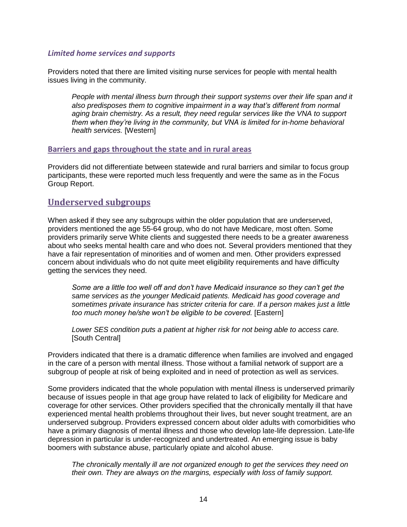#### *Limited home services and supports*

Providers noted that there are limited visiting nurse services for people with mental health issues living in the community.

*People with mental illness burn through their support systems over their life span and it also predisposes them to cognitive impairment in a way that's different from normal aging brain chemistry. As a result, they need regular services like the VNA to support them when they're living in the community, but VNA is limited for in-home behavioral health services.* [Western]

#### **Barriers and gaps throughout the state and in rural areas**

Providers did not differentiate between statewide and rural barriers and similar to focus group participants, these were reported much less frequently and were the same as in the Focus Group Report.

## **Underserved subgroups**

When asked if they see any subgroups within the older population that are underserved, providers mentioned the age 55-64 group, who do not have Medicare, most often. Some providers primarily serve White clients and suggested there needs to be a greater awareness about who seeks mental health care and who does not. Several providers mentioned that they have a fair representation of minorities and of women and men. Other providers expressed concern about individuals who do not quite meet eligibility requirements and have difficulty getting the services they need.

*Some are a little too well off and don't have Medicaid insurance so they can't get the same services as the younger Medicaid patients. Medicaid has good coverage and sometimes private insurance has stricter criteria for care. If a person makes just a little too much money he/she won't be eligible to be covered.* [Eastern]

*Lower SES condition puts a patient at higher risk for not being able to access care.*  [South Central]

Providers indicated that there is a dramatic difference when families are involved and engaged in the care of a person with mental illness. Those without a familial network of support are a subgroup of people at risk of being exploited and in need of protection as well as services.

Some providers indicated that the whole population with mental illness is underserved primarily because of issues people in that age group have related to lack of eligibility for Medicare and coverage for other services. Other providers specified that the chronically mentally ill that have experienced mental health problems throughout their lives, but never sought treatment, are an underserved subgroup. Providers expressed concern about older adults with comorbidities who have a primary diagnosis of mental illness and those who develop late-life depression. Late-life depression in particular is under-recognized and undertreated. An emerging issue is baby boomers with substance abuse, particularly opiate and alcohol abuse.

*The chronically mentally ill are not organized enough to get the services they need on their own. They are always on the margins, especially with loss of family support.*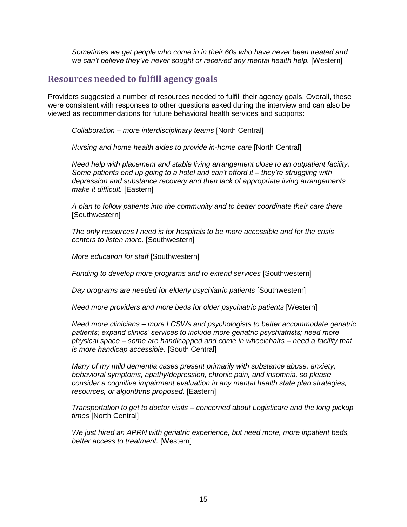*Sometimes we get people who come in in their 60s who have never been treated and*  we can't believe they've never sought or received any mental health help. [Western]

## **Resources needed to fulfill agency goals**

Providers suggested a number of resources needed to fulfill their agency goals. Overall, these were consistent with responses to other questions asked during the interview and can also be viewed as recommendations for future behavioral health services and supports:

*Collaboration – more interdisciplinary teams* [North Central]

*Nursing and home health aides to provide in-home care* [North Central]

*Need help with placement and stable living arrangement close to an outpatient facility. Some patients end up going to a hotel and can't afford it – they're struggling with depression and substance recovery and then lack of appropriate living arrangements make it difficult.* [Eastern]

*A plan to follow patients into the community and to better coordinate their care there* [Southwestern]

*The only resources I need is for hospitals to be more accessible and for the crisis centers to listen more.* [Southwestern]

*More education for staff* [Southwestern]

*Funding to develop more programs and to extend services* [Southwestern]

*Day programs are needed for elderly psychiatric patients* [Southwestern]

*Need more providers and more beds for older psychiatric patients* [Western]

*Need more clinicians – more LCSWs and psychologists to better accommodate geriatric patients; expand clinics' services to include more geriatric psychiatrists; need more physical space – some are handicapped and come in wheelchairs – need a facility that is more handicap accessible.* [South Central]

*Many of my mild dementia cases present primarily with substance abuse, anxiety, behavioral symptoms, apathy/depression, chronic pain, and insomnia, so please consider a cognitive impairment evaluation in any mental health state plan strategies, resources, or algorithms proposed.* [Eastern]

*Transportation to get to doctor visits – concerned about Logisticare and the long pickup times* [North Central]

*We just hired an APRN with geriatric experience, but need more, more inpatient beds, better access to treatment.* [Western]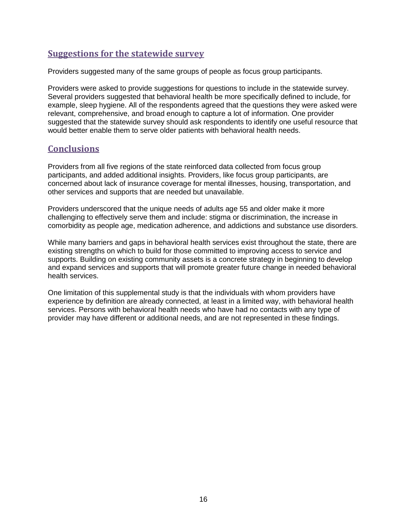## **Suggestions for the statewide survey**

Providers suggested many of the same groups of people as focus group participants.

Providers were asked to provide suggestions for questions to include in the statewide survey. Several providers suggested that behavioral health be more specifically defined to include, for example, sleep hygiene. All of the respondents agreed that the questions they were asked were relevant, comprehensive, and broad enough to capture a lot of information. One provider suggested that the statewide survey should ask respondents to identify one useful resource that would better enable them to serve older patients with behavioral health needs.

## **Conclusions**

Providers from all five regions of the state reinforced data collected from focus group participants, and added additional insights. Providers, like focus group participants, are concerned about lack of insurance coverage for mental illnesses, housing, transportation, and other services and supports that are needed but unavailable.

Providers underscored that the unique needs of adults age 55 and older make it more challenging to effectively serve them and include: stigma or discrimination, the increase in comorbidity as people age, medication adherence, and addictions and substance use disorders.

While many barriers and gaps in behavioral health services exist throughout the state, there are existing strengths on which to build for those committed to improving access to service and supports. Building on existing community assets is a concrete strategy in beginning to develop and expand services and supports that will promote greater future change in needed behavioral health services.

One limitation of this supplemental study is that the individuals with whom providers have experience by definition are already connected, at least in a limited way, with behavioral health services. Persons with behavioral health needs who have had no contacts with any type of provider may have different or additional needs, and are not represented in these findings.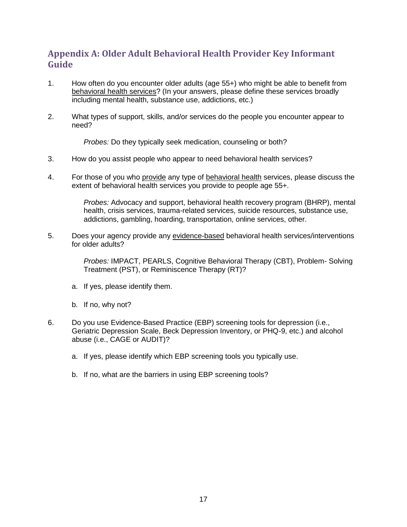## **Appendix A: Older Adult Behavioral Health Provider Key Informant Guide**

- 1. How often do you encounter older adults (age 55+) who might be able to benefit from behavioral health services? (In your answers, please define these services broadly including mental health, substance use, addictions, etc.)
- 2. What types of support, skills, and/or services do the people you encounter appear to need?

*Probes:* Do they typically seek medication, counseling or both?

- 3. How do you assist people who appear to need behavioral health services?
- 4. For those of you who provide any type of behavioral health services, please discuss the extent of behavioral health services you provide to people age 55+.

*Probes:* Advocacy and support, behavioral health recovery program (BHRP), mental health, crisis services, trauma-related services, suicide resources, substance use, addictions, gambling, hoarding, transportation, online services, other.

5. Does your agency provide any evidence-based behavioral health services/interventions for older adults?

> *Probes:* IMPACT, PEARLS, Cognitive Behavioral Therapy (CBT), Problem- Solving Treatment (PST), or Reminiscence Therapy (RT)?

- a. If yes, please identify them.
- b. If no, why not?
- 6. Do you use Evidence-Based Practice (EBP) screening tools for depression (i.e., Geriatric Depression Scale, Beck Depression Inventory, or PHQ-9, etc.) and alcohol abuse (i.e., CAGE or AUDIT)?
	- a. If yes, please identify which EBP screening tools you typically use.
	- b. If no, what are the barriers in using EBP screening tools?